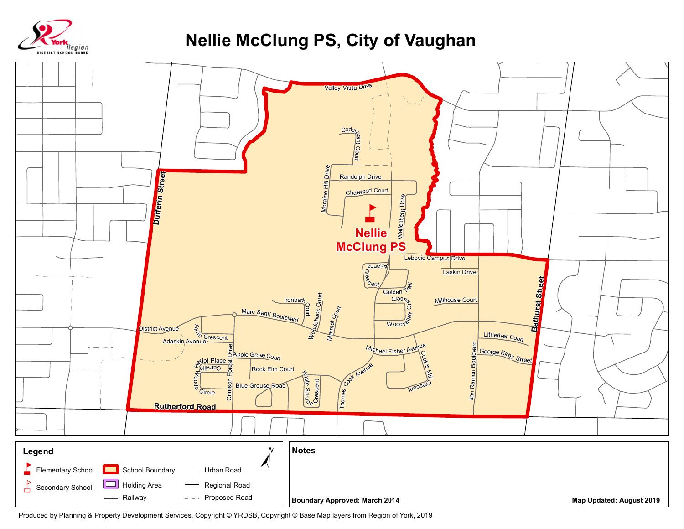

## **Nellie McClung PS, City of Vaughan**



Produced by Planning & Property Development Services, Copyright © YRDSB, Copyright © Base Map layers from Region of York, 2019